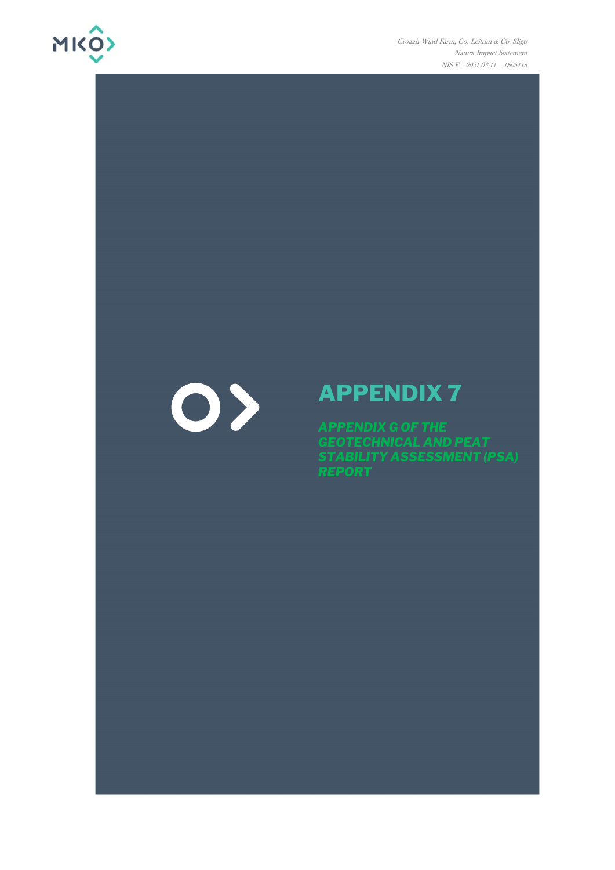

Croagh Wind Farm, Co. Leitrim & Co. Sligo Natura Impact Statement NIS F - 2021.03.11 - 180511a

# 0>

## **APPENDIX 7**

APPENDIX G OF THE<br>GEOTECHNICAL AND PEAT<br>STABILITY ASSESSMENT (PSA)<br>REPORT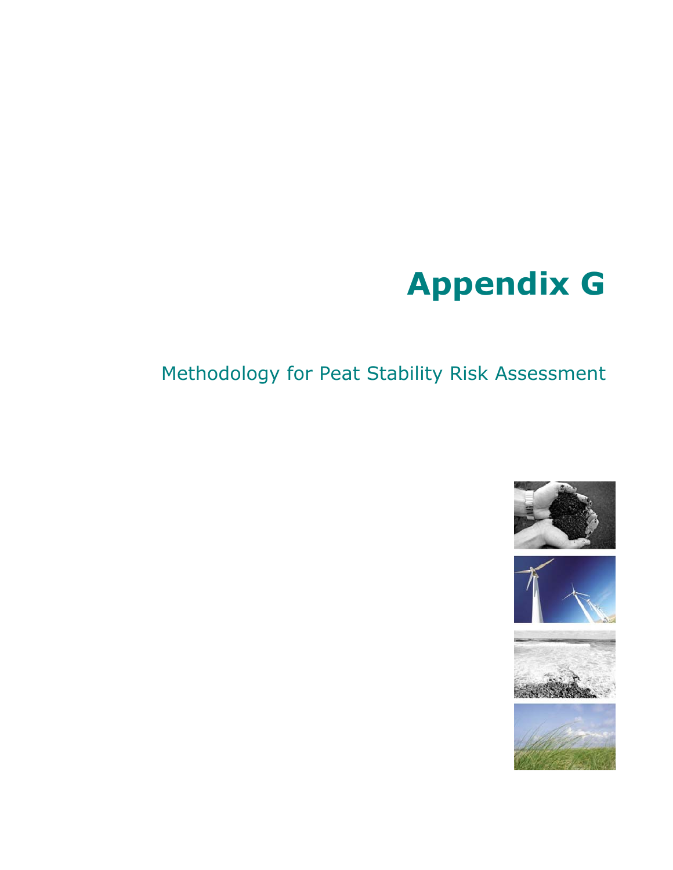# **Appendix G**

### Methodology for Peat Stability Risk Assessment







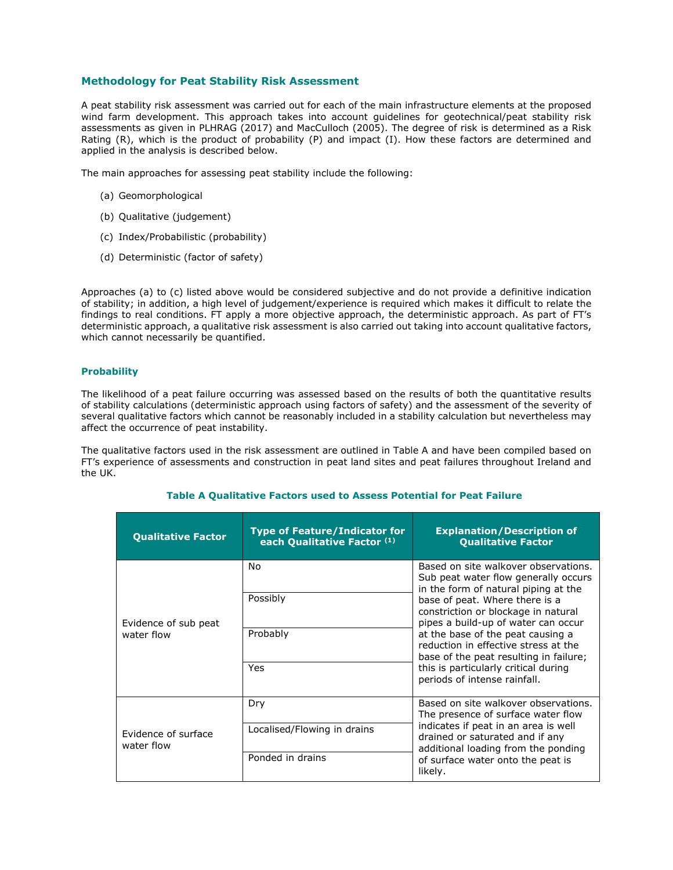#### **Methodology for Peat Stability Risk Assessment**

A peat stability risk assessment was carried out for each of the main infrastructure elements at the proposed wind farm development. This approach takes into account guidelines for geotechnical/peat stability risk assessments as given in PLHRAG (2017) and MacCulloch (2005). The degree of risk is determined as a Risk Rating (R), which is the product of probability (P) and impact (I). How these factors are determined and applied in the analysis is described below.

The main approaches for assessing peat stability include the following:

- (a) Geomorphological
- (b) Qualitative (judgement)
- (c) Index/Probabilistic (probability)
- (d) Deterministic (factor of safety)

Approaches (a) to (c) listed above would be considered subjective and do not provide a definitive indication of stability; in addition, a high level of judgement/experience is required which makes it difficult to relate the findings to real conditions. FT apply a more objective approach, the deterministic approach. As part of FT's deterministic approach, a qualitative risk assessment is also carried out taking into account qualitative factors, which cannot necessarily be quantified.

#### **Probability**

The likelihood of a peat failure occurring was assessed based on the results of both the quantitative results of stability calculations (deterministic approach using factors of safety) and the assessment of the severity of several qualitative factors which cannot be reasonably included in a stability calculation but nevertheless may affect the occurrence of peat instability.

The qualitative factors used in the risk assessment are outlined in Table A and have been compiled based on FT's experience of assessments and construction in peat land sites and peat failures throughout Ireland and the UK.

| <b>Qualitative Factor</b>         | <b>Type of Feature/Indicator for</b><br>each Qualitative Factor (1) | <b>Explanation/Description of</b><br><b>Qualitative Factor</b>                                                                                                                                                                       |  |
|-----------------------------------|---------------------------------------------------------------------|--------------------------------------------------------------------------------------------------------------------------------------------------------------------------------------------------------------------------------------|--|
| Evidence of sub peat              | No<br>Possibly                                                      | Based on site walkover observations.<br>Sub peat water flow generally occurs<br>in the form of natural piping at the<br>base of peat. Where there is a<br>constriction or blockage in natural<br>pipes a build-up of water can occur |  |
| water flow                        | Probably<br>Yes                                                     | at the base of the peat causing a<br>reduction in effective stress at the<br>base of the peat resulting in failure;<br>this is particularly critical during<br>periods of intense rainfall.                                          |  |
|                                   | Dry                                                                 | Based on site walkover observations.<br>The presence of surface water flow                                                                                                                                                           |  |
| Evidence of surface<br>water flow | Localised/Flowing in drains                                         | indicates if peat in an area is well<br>drained or saturated and if any<br>additional loading from the ponding                                                                                                                       |  |
|                                   | Ponded in drains                                                    | of surface water onto the peat is<br>likely.                                                                                                                                                                                         |  |

#### **Table A Qualitative Factors used to Assess Potential for Peat Failure**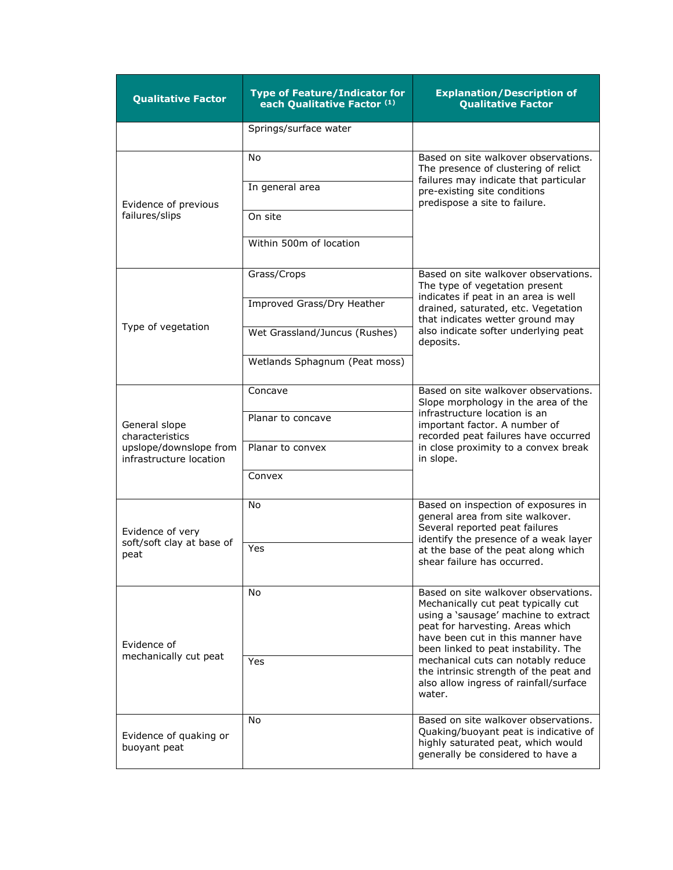| <b>Qualitative Factor</b>                                                             | <b>Type of Feature/Indicator for</b><br>each Qualitative Factor (1)                                         | <b>Explanation/Description of</b><br><b>Qualitative Factor</b>                                                                                                                                                                                                                                                                                                           |  |  |  |
|---------------------------------------------------------------------------------------|-------------------------------------------------------------------------------------------------------------|--------------------------------------------------------------------------------------------------------------------------------------------------------------------------------------------------------------------------------------------------------------------------------------------------------------------------------------------------------------------------|--|--|--|
|                                                                                       | Springs/surface water                                                                                       |                                                                                                                                                                                                                                                                                                                                                                          |  |  |  |
| Evidence of previous<br>failures/slips                                                | No<br>In general area<br>On site<br>Within 500m of location                                                 | Based on site walkover observations.<br>The presence of clustering of relict<br>failures may indicate that particular<br>pre-existing site conditions<br>predispose a site to failure.                                                                                                                                                                                   |  |  |  |
| Type of vegetation                                                                    | Grass/Crops<br>Improved Grass/Dry Heather<br>Wet Grassland/Juncus (Rushes)<br>Wetlands Sphagnum (Peat moss) | Based on site walkover observations.<br>The type of vegetation present<br>indicates if peat in an area is well<br>drained, saturated, etc. Vegetation<br>that indicates wetter ground may<br>also indicate softer underlying peat<br>deposits.                                                                                                                           |  |  |  |
| General slope<br>characteristics<br>upslope/downslope from<br>infrastructure location | Concave<br>Planar to concave<br>Planar to convex<br>Convex                                                  | Based on site walkover observations.<br>Slope morphology in the area of the<br>infrastructure location is an<br>important factor. A number of<br>recorded peat failures have occurred<br>in close proximity to a convex break<br>in slope.                                                                                                                               |  |  |  |
| Evidence of very<br>soft/soft clay at base of<br>peat                                 | No<br>Yes                                                                                                   | Based on inspection of exposures in<br>general area from site walkover.<br>Several reported peat failures<br>identify the presence of a weak layer<br>at the base of the peat along which<br>shear failure has occurred.                                                                                                                                                 |  |  |  |
| Evidence of<br>mechanically cut peat                                                  | No.<br>Yes                                                                                                  | Based on site walkover observations.<br>Mechanically cut peat typically cut<br>using a 'sausage' machine to extract<br>peat for harvesting. Areas which<br>have been cut in this manner have<br>been linked to peat instability. The<br>mechanical cuts can notably reduce<br>the intrinsic strength of the peat and<br>also allow ingress of rainfall/surface<br>water. |  |  |  |
| Evidence of quaking or<br>buoyant peat                                                | No                                                                                                          | Based on site walkover observations.<br>Quaking/buoyant peat is indicative of<br>highly saturated peat, which would<br>generally be considered to have a                                                                                                                                                                                                                 |  |  |  |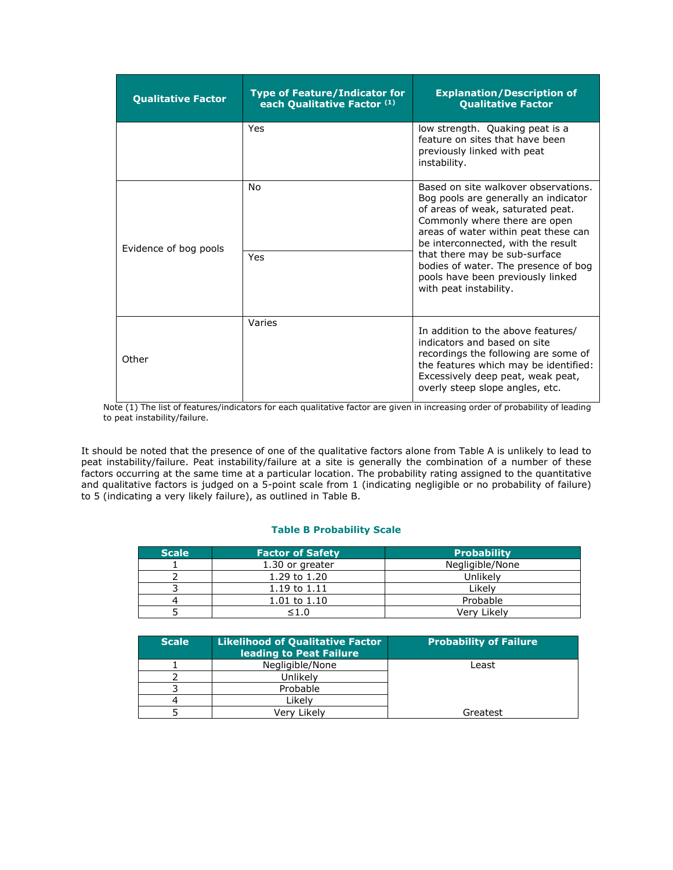| <b>Qualitative Factor</b> | <b>Type of Feature/Indicator for</b><br>each Qualitative Factor (1) | <b>Explanation/Description of</b><br><b>Qualitative Factor</b>                                                                                                                                                                                                                                                                                                           |
|---------------------------|---------------------------------------------------------------------|--------------------------------------------------------------------------------------------------------------------------------------------------------------------------------------------------------------------------------------------------------------------------------------------------------------------------------------------------------------------------|
|                           | Yes                                                                 | low strength. Quaking peat is a<br>feature on sites that have been<br>previously linked with peat<br>instability.                                                                                                                                                                                                                                                        |
| Evidence of bog pools     | No<br>Yes                                                           | Based on site walkover observations.<br>Bog pools are generally an indicator<br>of areas of weak, saturated peat.<br>Commonly where there are open<br>areas of water within peat these can<br>be interconnected, with the result<br>that there may be sub-surface<br>bodies of water. The presence of bog<br>pools have been previously linked<br>with peat instability. |
| Other                     | Varies                                                              | In addition to the above features/<br>indicators and based on site<br>recordings the following are some of<br>the features which may be identified:<br>Excessively deep peat, weak peat,<br>overly steep slope angles, etc.                                                                                                                                              |

Note (1) The list of features/indicators for each qualitative factor are given in increasing order of probability of leading to peat instability/failure.

It should be noted that the presence of one of the qualitative factors alone from Table A is unlikely to lead to peat instability/failure. Peat instability/failure at a site is generally the combination of a number of these factors occurring at the same time at a particular location. The probability rating assigned to the quantitative and qualitative factors is judged on a 5-point scale from 1 (indicating negligible or no probability of failure) to 5 (indicating a very likely failure), as outlined in Table B.

#### **Table B Probability Scale**

| <b>Scale</b> | <b>Factor of Safety</b> | <b>Probability</b> |
|--------------|-------------------------|--------------------|
|              | 1.30 or greater         | Negligible/None    |
|              | 1.29 to 1.20            | Unlikely           |
|              | $1.19 \text{ to } 1.11$ | Likelv             |
|              | $1.01$ to $1.10$        | Probable           |
|              | 1.0                     | Verv Likelv        |

| <b>Scale</b> | <b>Likelihood of Qualitative Factor</b><br>leading to Peat Failure | <b>Probability of Failure</b> |
|--------------|--------------------------------------------------------------------|-------------------------------|
|              | Negligible/None                                                    | Least                         |
|              | Unlikelv                                                           |                               |
|              | Probable                                                           |                               |
|              | Likelv                                                             |                               |
|              | Verv Likelv                                                        | Greatest                      |